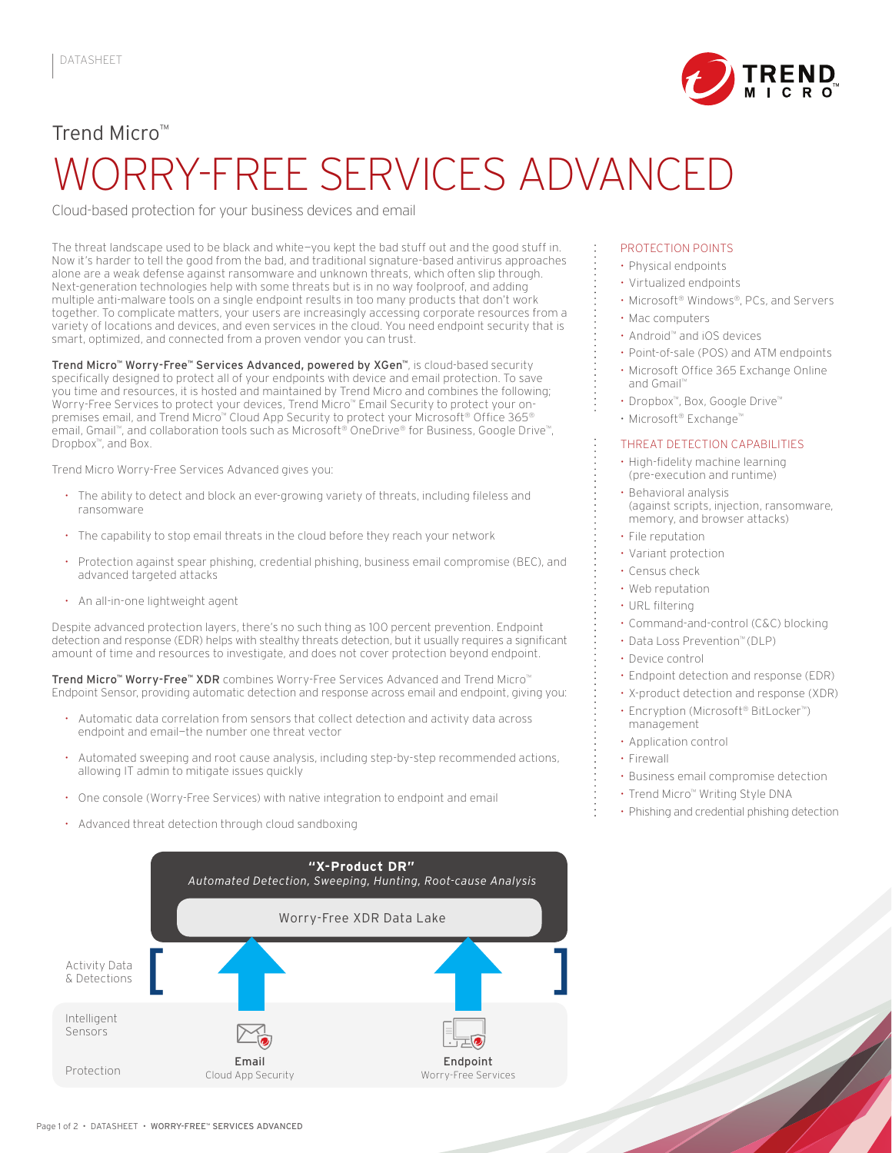

# Trend Micro™ WORRY-FREE SERVICES ADVANCED

Cloud-based protection for your business devices and email

The threat landscape used to be black and white—you kept the bad stuff out and the good stuff in. Now it's harder to tell the good from the bad, and traditional signature-based antivirus approaches alone are a weak defense against ransomware and unknown threats, which often slip through. Next-generation technologies help with some threats but is in no way foolproof, and adding multiple anti-malware tools on a single endpoint results in too many products that don't work together. To complicate matters, your users are increasingly accessing corporate resources from a variety of locations and devices, and even services in the cloud. You need endpoint security that is smart, optimized, and connected from a proven vendor you can trust.

Trend Micro™ Worry-Free™ Services Advanced, powered by XGen™, is cloud-based security specifically designed to protect all of your endpoints with device and email protection. To save you time and resources, it is hosted and maintained by Trend Micro and combines the following; Worry-Free Services to protect your devices, Trend Micro™ Email Security to protect your onpremises email, and Trend Micro™ Cloud App Security to protect your Microsoft® Office 365® email, Gmail™, and collaboration tools such as Microsoft® OneDrive® for Business, Google Drive™, Dropbox™, and Box.

Trend Micro Worry-Free Services Advanced gives you:

- The ability to detect and block an ever-growing variety of threats, including fileless and ransomware
- The capability to stop email threats in the cloud before they reach your network
- Protection against spear phishing, credential phishing, business email compromise (BEC), and advanced targeted attacks
- An all-in-one lightweight agent

Despite advanced protection layers, there's no such thing as 100 percent prevention. Endpoint detection and response (EDR) helps with stealthy threats detection, but it usually requires a significant amount of time and resources to investigate, and does not cover protection beyond endpoint.

- 
- 
- 
- 



#### PROTECTION POINTS

- Physical endpoints
- Virtualized endpoints
- Microsoft® Windows®, PCs, and Servers
- Mac computers
- Android™ and iOS devices
- Point-of-sale (POS) and ATM endpoints
- Microsoft Office 365 Exchange Online and Gmail™
- Dropbox™, Box, Google Drive™
- Microsoft® Exchange™

#### THREAT DETECTION CAPABILITIES

- High-fidelity machine learning (pre-execution and runtime)
- Behavioral analysis (against scripts, injection, ransomware, memory, and browser attacks)
- File reputation
- Variant protection
- Census check
- Web reputation
- URL filtering
- Command-and-control (C&C) blocking
- Data Loss Prevention™ (DLP)
- Device control
- **Endpoint detection and respon**
- X-product detection and response (XDR)
- Encryption (Microsof<sup>t®</sup> BitLocker<sup>™</sup>)
- management
- Application control
- Firewall
- Business email compromise detection
- Trend Micro™ Writing Style DNA
- Phishing and credential phishing detection